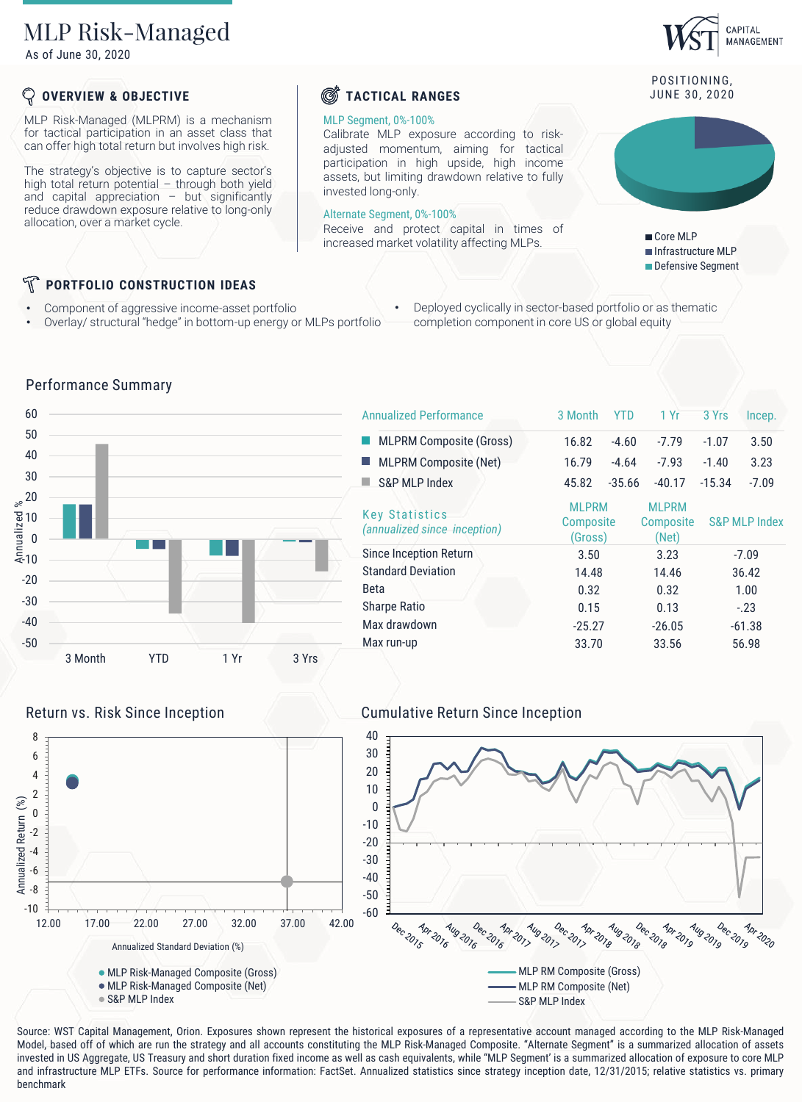# MLP Risk-Managed

As of June 30, 2020

# **OVERVIEW & OBJECTIVE**

MLP Risk-Managed (MLPRM) is a mechanism for tactical participation in an asset class that can offer high total return but involves high risk.

The strategy's objective is to capture sector's high total return potential – through both yield and capital appreciation – but significantly reduce drawdown exposure relative to long-only allocation, over a market cycle.

# *C* TACTICAL RANGES JUNE 30, 2020

### MLP Segment, 0%-100%

Calibrate MLP exposure according to riskadjusted momentum, aiming for tactical participation in high upside, high income assets, but limiting drawdown relative to fully invested long-only.

### Alternate Segment, 0%-100%

Receive and protect capital in times of increased market volatility affecting MLPs.

POSITIONING.

CAPITAL MANAGEMENT



Core MLP Infrastructure MLP Defensive Segment

# **PORTFOLIO CONSTRUCTION IDEAS**

Performance Summary

- Component of aggressive income-asset portfolio
- Overlay/ structural "hedge" in bottom-up energy or MLPs portfolio
- Deployed cyclically in sector-based portfolio or as thematic completion component in core US or global equity



| <b>Annualized Performance</b>                         | 3 Month                              | YTD      | 1 Yr                                      | 3 Yrs                    | Incep.  |
|-------------------------------------------------------|--------------------------------------|----------|-------------------------------------------|--------------------------|---------|
| <b>MLPRM Composite (Gross)</b>                        | 16.82                                | $-4.60$  | $-7.79$                                   | $-1.07$                  | 3.50    |
| <b>MLPRM Composite (Net)</b>                          | 16.79                                | $-4.64$  | $-7.93$                                   | $-1.40$                  | 3.23    |
| S&P MI P Index                                        | 45.82                                | $-35.66$ | $-40.17$                                  | $-15.34$                 | $-7.09$ |
| <b>Key Statistics</b><br>(annualized since inception) | <b>MLPRM</b><br>Composite<br>(Gross) |          | <b>MLPRM</b><br><b>Composite</b><br>(Net) | <b>S&amp;P MLP Index</b> |         |
| Since Inception Return                                | 3.50                                 |          | 3.23                                      |                          | $-7.09$ |
| <b>Standard Deviation</b>                             | 14.48                                |          | 14.46                                     |                          | 36.42   |
| Beta                                                  | 0.32                                 |          | 0.32                                      |                          | 1.00    |
| <b>Sharpe Ratio</b>                                   | 0.15<br>0.13                         |          |                                           | $-.23$                   |         |
| Max drawdown                                          | $-25.27$                             |          | $-26.05$                                  | $-61.38$                 |         |
| Max run-up                                            | 33.70                                |          | 33.56                                     | 56.98                    |         |

### $\frac{1}{2}$ <br>  $\frac{1}{2}$ <br>  $\frac{1}{2}$ <br>  $\frac{1}{2}$ <br>  $\frac{1}{2}$ <br>  $\frac{1}{2}$ <br>  $\frac{1}{2}$ <br>  $\frac{1}{2}$ <br>  $\frac{1}{2}$ <br>  $\frac{1}{2}$ <br>  $\frac{1}{2}$ <br>  $\frac{1}{2}$ <br>  $\frac{1}{2}$ <br>  $\frac{1}{2}$ <br>  $\frac{1}{2}$ <br>  $\frac{1}{2}$ <br>  $\frac{1}{2}$ <br>  $\frac{1}{2}$ <br>  $\frac{1}{2}$ <br>  $\frac{1}{2}$ <br> Return vs. Risk Since Inception **Cumulative Return Since Inception** 40 8 30 6 20 4 10 2 Annualized Return (%) Annualized Return (%) 0 0 -10 -2 -20 -4 -30 -6 -40 -8 -50  $-10$ -60 Dec 2015 Apr 2016 Aug 2016 Dec 2016 Apr 2017 Dec 2017 Apr 201<sub>8</sub> Dec 2018 Apr 2019 Dec-2019 Aug 2017 Aug 2018 Aug 2019 Apr 2020 12.00 17.00 22.00 27.00 32.00 37.00 42.00 Annualized Standard Deviation (%) MLP RM Composite (Gross) MLP Risk-Managed Composite (Gross) MLP Risk-Managed Composite (Net) MLP RM Composite (Net) ● S&P MLP Index S&P MLP Index

Source: WST Capital Management, Orion. Exposures shown represent the historical exposures of a representative account managed according to the MLP Risk-Managed Model, based off of which are run the strategy and all accounts constituting the MLP Risk-Managed Composite. "Alternate Segment" is a summarized allocation of assets invested in US Aggregate, US Treasury and short duration fixed income as well as cash equivalents, while "MLP Segment' is a summarized allocation of exposure to core MLP and infrastructure MLP ETFs. Source for performance information: FactSet. Annualized statistics since strategy inception date, 12/31/2015; relative statistics vs. primary benchmark